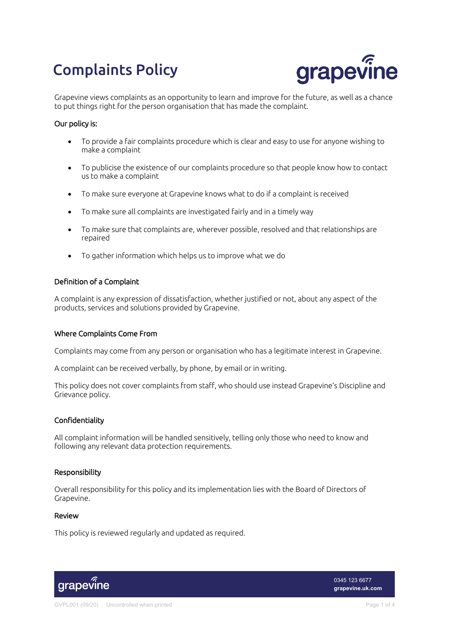# Complaints Policy



Grapevine views complaints as an opportunity to learn and improve for the future, as well as a chance to put things right for the person organisation that has made the complaint.

# Our policy is:

- To provide a fair complaints procedure which is clear and easy to use for anyone wishing to make a complaint
- To publicise the existence of our complaints procedure so that people know how to contact us to make a complaint
- To make sure everyone at Grapevine knows what to do if a complaint is received
- To make sure all complaints are investigated fairly and in a timely way
- To make sure that complaints are, wherever possible, resolved and that relationships are repaired
- To gather information which helps us to improve what we do

#### Definition of a Complaint

A complaint is any expression of dissatisfaction, whether justified or not, about any aspect of the products, services and solutions provided by Grapevine.

# Where Complaints Come From

Complaints may come from any person or organisation who has a legitimate interest in Grapevine.

A complaint can be received verbally, by phone, by email or in writing.

This policy does not cover complaints from staff, who should use instead Grapevine's Discipline and Grievance policy.

#### Confidentiality

All complaint information will be handled sensitively, telling only those who need to know and following any relevant data protection requirements.

#### Responsibility

Overall responsibility for this policy and its implementation lies with the Board of Directors of Grapevine.

### Review

This policy is reviewed regularly and updated as required.



0345 123 6677 **grapevine.uk.com**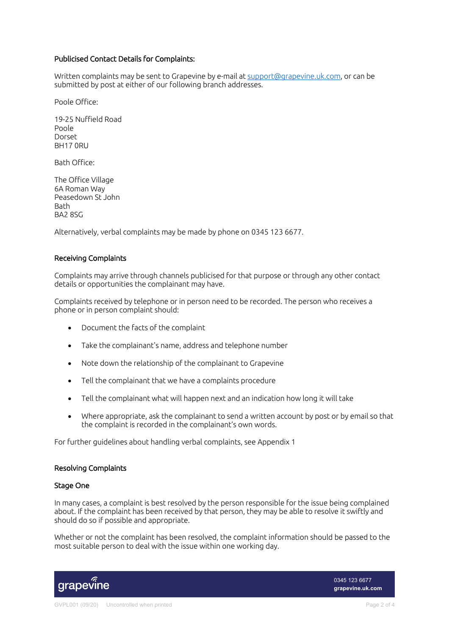# Publicised Contact Details for Complaints:

Written complaints may be sent to Grapevine by e-mail at support@grapevine.uk.com, or can be submitted by post at either of our following branch addresses.

Poole Office:

19-25 Nuffield Road Poole Dorset BH17 0RU

Bath Office:

The Office Village 6A Roman Way Peasedown St John **Bath** BA2 8SG

Alternatively, verbal complaints may be made by phone on 0345 123 6677.

#### Receiving Complaints

Complaints may arrive through channels publicised for that purpose or through any other contact details or opportunities the complainant may have.

Complaints received by telephone or in person need to be recorded. The person who receives a phone or in person complaint should:

- Document the facts of the complaint
- Take the complainant's name, address and telephone number
- Note down the relationship of the complainant to Grapevine
- Tell the complainant that we have a complaints procedure
- Tell the complainant what will happen next and an indication how long it will take
- Where appropriate, ask the complainant to send a written account by post or by email so that the complaint is recorded in the complainant's own words.

For further guidelines about handling verbal complaints, see Appendix 1

#### Resolving Complaints

#### Stage One

In many cases, a complaint is best resolved by the person responsible for the issue being complained about. If the complaint has been received by that person, they may be able to resolve it swiftly and should do so if possible and appropriate.

Whether or not the complaint has been resolved, the complaint information should be passed to the most suitable person to deal with the issue within one working day.



0345 123 6677 **grapevine.uk.com**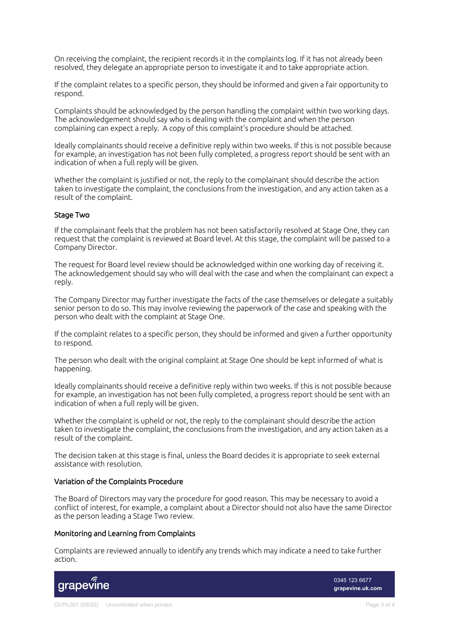On receiving the complaint, the recipient records it in the complaints log. If it has not already been resolved, they delegate an appropriate person to investigate it and to take appropriate action.

If the complaint relates to a specific person, they should be informed and given a fair opportunity to respond.

Complaints should be acknowledged by the person handling the complaint within two working days. The acknowledgement should say who is dealing with the complaint and when the person complaining can expect a reply. A copy of this complaint's procedure should be attached.

Ideally complainants should receive a definitive reply within two weeks. If this is not possible because for example, an investigation has not been fully completed, a progress report should be sent with an indication of when a full reply will be given.

Whether the complaint is justified or not, the reply to the complainant should describe the action taken to investigate the complaint, the conclusions from the investigation, and any action taken as a result of the complaint.

#### Stage Two

If the complainant feels that the problem has not been satisfactorily resolved at Stage One, they can request that the complaint is reviewed at Board level. At this stage, the complaint will be passed to a Company Director.

The request for Board level review should be acknowledged within one working day of receiving it. The acknowledgement should say who will deal with the case and when the complainant can expect a reply.

The Company Director may further investigate the facts of the case themselves or delegate a suitably senior person to do so. This may involve reviewing the paperwork of the case and speaking with the person who dealt with the complaint at Stage One.

If the complaint relates to a specific person, they should be informed and given a further opportunity to respond.

The person who dealt with the original complaint at Stage One should be kept informed of what is happening.

Ideally complainants should receive a definitive reply within two weeks. If this is not possible because for example, an investigation has not been fully completed, a progress report should be sent with an indication of when a full reply will be given.

Whether the complaint is upheld or not, the reply to the complainant should describe the action taken to investigate the complaint, the conclusions from the investigation, and any action taken as a result of the complaint.

The decision taken at this stage is final, unless the Board decides it is appropriate to seek external assistance with resolution.

#### Variation of the Complaints Procedure

The Board of Directors may vary the procedure for good reason. This may be necessary to avoid a conflict of interest, for example, a complaint about a Director should not also have the same Director as the person leading a Stage Two review.

# Monitoring and Learning from Complaints

Complaints are reviewed annually to identify any trends which may indicate a need to take further action.



0345 123 6677 **grapevine.uk.com**